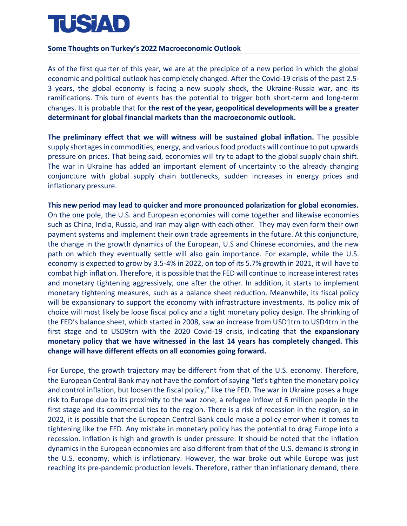## TUSIAD

#### **Some Thoughts on Turkey's 2022 Macroeconomic Outlook**

As of the first quarter of this year, we are at the precipice of a new period in which the global economic and political outlook has completely changed. After the Covid-19 crisis of the past 2.5- 3 years, the global economy is facing a new supply shock, the Ukraine-Russia war, and its ramifications. This turn of events has the potential to trigger both short-term and long-term changes. It is probable that for **the rest of the year, geopolitical developments will be a greater determinant for global financial markets than the macroeconomic outlook.**

**The preliminary effect that we will witness will be sustained global inflation.** The possible supply shortages in commodities, energy, and various food products will continue to put upwards pressure on prices. That being said, economies will try to adapt to the global supply chain shift. The war in Ukraine has added an important element of uncertainty to the already changing conjuncture with global supply chain bottlenecks, sudden increases in energy prices and inflationary pressure.

**This new period may lead to quicker and more pronounced polarization for global economies.** On the one pole, the U.S. and European economies will come together and likewise economies such as China, India, Russia, and Iran may align with each other. They may even form their own payment systems and implement their own trade agreements in the future. At this conjuncture, the change in the growth dynamics of the European, U.S and Chinese economies, and the new path on which they eventually settle will also gain importance. For example, while the U.S. economy is expected to grow by 3.5-4% in 2022, on top of its 5.7% growth in 2021, it will have to combat high inflation. Therefore, it is possible that the FED will continue to increase interest rates and monetary tightening aggressively, one after the other. In addition, it starts to implement monetary tightening measures, such as a balance sheet reduction. Meanwhile, its fiscal policy will be expansionary to support the economy with infrastructure investments. Its policy mix of choice will most likely be loose fiscal policy and a tight monetary policy design. The shrinking of the FED's balance sheet, which started in 2008, saw an increase from USD1trn to USD4trn in the first stage and to USD9trn with the 2020 Covid-19 crisis, indicating that **the expansionary monetary policy that we have witnessed in the last 14 years has completely changed. This change will have different effects on all economies going forward.**

For Europe, the growth trajectory may be different from that of the U.S. economy. Therefore, the European Central Bank may not have the comfort of saying "let's tighten the monetary policy and control inflation, but loosen the fiscal policy," like the FED. The war in Ukraine poses a huge risk to Europe due to its proximity to the war zone, a refugee inflow of 6 million people in the first stage and its commercial ties to the region. There is a risk of recession in the region, so in 2022, it is possible that the European Central Bank could make a policy error when it comes to tightening like the FED. Any mistake in monetary policy has the potential to drag Europe into a recession. Inflation is high and growth is under pressure. It should be noted that the inflation dynamics in the European economies are also different from that of the U.S. demand is strong in the U.S. economy, which is inflationary. However, the war broke out while Europe was just reaching its pre-pandemic production levels. Therefore, rather than inflationary demand, there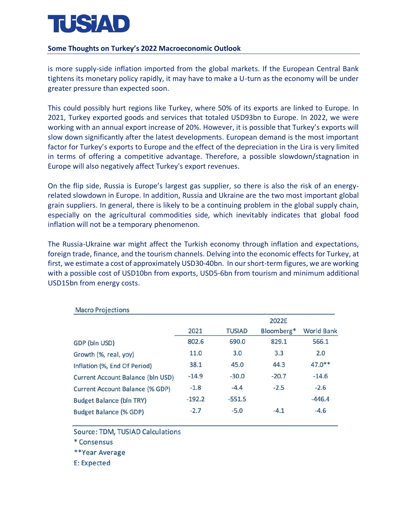# **TUSAD**

#### **Some Thoughts on Turkey's 2022 Macroeconomic Outlook**

is more supply-side inflation imported from the global markets. If the European Central Bank tightens its monetary policy rapidly, it may have to make a U-turn as the economy will be under greater pressure than expected soon.

This could possibly hurt regions like Turkey, where 50% of its exports are linked to Europe. In 2021, Turkey exported goods and services that totaled USD93bn to Europe. In 2022, we were working with an annual export increase of 20%. However, it is possible that Turkey's exports will slow down significantly after the latest developments. European demand is the most important factor for Turkey's exports to Europe and the effect of the depreciation in the Lira is very limited in terms of offering a competitive advantage. Therefore, a possible slowdown/stagnation in Europe will also negatively affect Turkey's export revenues.

On the flip side, Russia is Europe's largest gas supplier, so there is also the risk of an energyrelated slowdown in Europe. In addition, Russia and Ukraine are the two most important global grain suppliers. In general, there is likely to be a continuing problem in the global supply chain, especially on the agricultural commodities side, which inevitably indicates that global food inflation will not be a temporary phenomenon.

The Russia-Ukraine war might affect the Turkish economy through inflation and expectations, foreign trade, finance, and the tourism channels. Delving into the economic effects for Turkey, at first, we estimate a cost of approximately USD30-40bn. In our short-term figures, we are working with a possible cost of USD10bn from exports, USD5-6bn from tourism and minimum additional USD15bn from energy costs.

| <b>Macro Projections</b>                 |          |               |            |                   |  |
|------------------------------------------|----------|---------------|------------|-------------------|--|
|                                          |          |               | 2022E      |                   |  |
|                                          | 2021     | <b>TUSIAD</b> | Bloomberg* | <b>World Bank</b> |  |
| GDP (bln USD)                            | 802.6    | 690.0         | 829.1      | 566.1             |  |
| Growth (%, real, yoy)                    | 11.0     | 3.0           | 3.3        | 2.0               |  |
| Inflation (%, End Of Period)             | 38.1     | 45.0          | 44.3       | 47.0**            |  |
| <b>Current Account Balance (bln USD)</b> | $-14.9$  | $-30.0$       | $-20.7$    | $-14.6$           |  |
| <b>Current Account Balance (% GDP)</b>   | $-1.8$   | $-4.4$        | $-2.5$     | $-2.6$            |  |
| <b>Budget Balance (bln TRY)</b>          | $-192.2$ | $-551.5$      |            | $-446.4$          |  |
| <b>Budget Balance (% GDP)</b>            | $-2.7$   | $-5.0$        | $-4.1$     | $-4.6$            |  |

Source: TDM, TUSIAD Calculations

\* Consensus

\*\*Year Average

E: Expected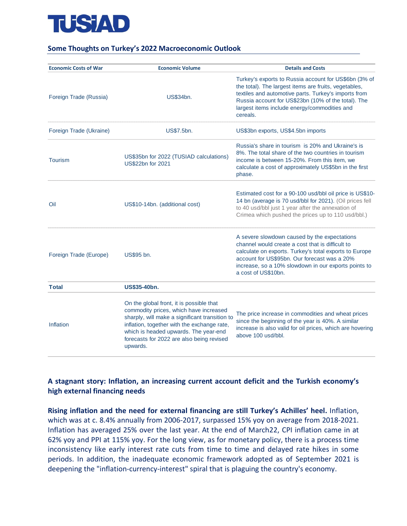

#### **Some Thoughts on Turkey's 2022 Macroeconomic Outlook**

| <b>Economic Costs of War</b> | <b>Economic Volume</b>                                                                                                                                                                                                                                                                              | <b>Details and Costs</b>                                                                                                                                                                                                                                                                  |  |  |
|------------------------------|-----------------------------------------------------------------------------------------------------------------------------------------------------------------------------------------------------------------------------------------------------------------------------------------------------|-------------------------------------------------------------------------------------------------------------------------------------------------------------------------------------------------------------------------------------------------------------------------------------------|--|--|
| Foreign Trade (Russia)       | <b>US\$34bn.</b>                                                                                                                                                                                                                                                                                    | Turkey's exports to Russia account for US\$6bn (3% of<br>the total). The largest items are fruits, vegetables,<br>textiles and automotive parts. Turkey's imports from<br>Russia account for US\$23bn (10% of the total). The<br>largest items include energy/commodities and<br>cereals. |  |  |
| Foreign Trade (Ukraine)      | US\$7.5bn.                                                                                                                                                                                                                                                                                          | US\$3bn exports, US\$4.5bn imports                                                                                                                                                                                                                                                        |  |  |
| <b>Tourism</b>               | Russia's share in tourism is 20% and Ukraine's is<br>8%. The total share of the two countries in tourism<br>US\$35bn for 2022 (TUSIAD calculations)<br>income is between 15-20%. From this item, we<br><b>US\$22bn for 2021</b><br>calculate a cost of approximately US\$5bn in the first<br>phase. |                                                                                                                                                                                                                                                                                           |  |  |
| Oil                          | US\$10-14bn. (additional cost)                                                                                                                                                                                                                                                                      | Estimated cost for a 90-100 usd/bbl oil price is US\$10-<br>14 bn (average is 70 usd/bbl for 2021). (Oil prices fell<br>to 40 usd/bbl just 1 year after the annexation of<br>Crimea which pushed the prices up to 110 usd/bbl.)                                                           |  |  |
| Foreign Trade (Europe)       | <b>US\$95</b> bn.                                                                                                                                                                                                                                                                                   | A severe slowdown caused by the expectations<br>channel would create a cost that is difficult to<br>calculate on exports. Turkey's total exports to Europe<br>account for US\$95bn. Our forecast was a 20%<br>increase, so a 10% slowdown in our exports points to<br>a cost of US\$10bn. |  |  |
| <b>Total</b>                 | US\$35-40bn.                                                                                                                                                                                                                                                                                        |                                                                                                                                                                                                                                                                                           |  |  |
| Inflation                    | On the global front, it is possible that<br>commodity prices, which have increased<br>sharply, will make a significant transition to<br>inflation, together with the exchange rate,<br>which is headed upwards. The year-end<br>forecasts for 2022 are also being revised<br>upwards.               | The price increase in commodities and wheat prices<br>since the beginning of the year is 40%. A similar<br>increase is also valid for oil prices, which are hovering<br>above 100 usd/bbl.                                                                                                |  |  |

### **A stagnant story: Inflation, an increasing current account deficit and the Turkish economy's high external financing needs**

**Rising inflation and the need for external financing are still Turkey's Achilles' heel.** Inflation, which was at c. 8.4% annually from 2006-2017, surpassed 15% yoy on average from 2018-2021. Inflation has averaged 25% over the last year. At the end of March22, CPI inflation came in at 62% yoy and PPI at 115% yoy. For the long view, as for monetary policy, there is a process time inconsistency like early interest rate cuts from time to time and delayed rate hikes in some periods. In addition, the inadequate economic framework adopted as of September 2021 is deepening the "inflation-currency-interest" spiral that is plaguing the country's economy.